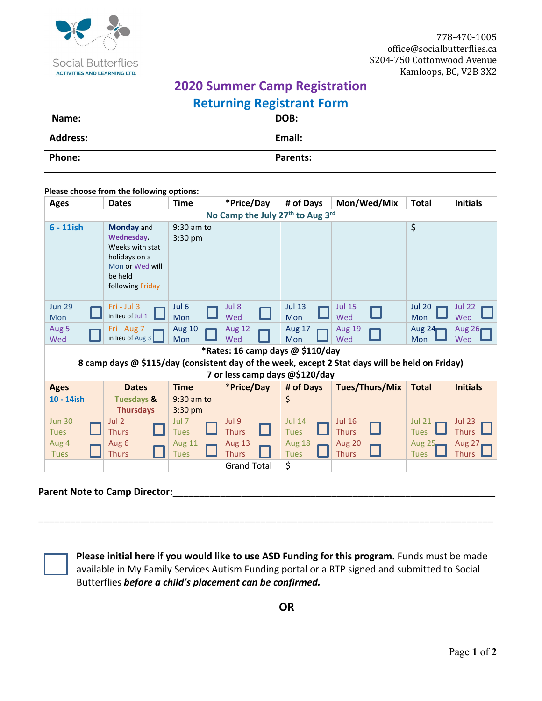

## **2020 Summer Camp Registration Returning Registrant Form**

| Name:           | _<br>DOB: |
|-----------------|-----------|
| <b>Address:</b> | Email:    |
| Phone:          | Parents:  |

## **Please choose from the following options:**

| <b>Ages</b>                                                                                     | <b>Dates</b>                                                                                                          | <b>Time</b>                  | *Price/Day                    | # of Days                    | Mon/Wed/Mix                   | <b>Total</b>                 | <b>Initials</b>               |  |
|-------------------------------------------------------------------------------------------------|-----------------------------------------------------------------------------------------------------------------------|------------------------------|-------------------------------|------------------------------|-------------------------------|------------------------------|-------------------------------|--|
| No Camp the July 27th to Aug 3rd                                                                |                                                                                                                       |                              |                               |                              |                               |                              |                               |  |
| $6 - 11$ ish                                                                                    | <b>Monday</b> and<br>Wednesday.<br>Weeks with stat<br>holidays on a<br>Mon or Wed will<br>be held<br>following Friday | 9:30 am to<br>$3:30$ pm      |                               |                              |                               | \$                           |                               |  |
| <b>Jun 29</b><br>Mon                                                                            | $Fig - July 3$<br>in lieu of Jul 1                                                                                    | Jul <sub>6</sub><br>Mon      | Jul 8<br>Wed                  | <b>Jul 13</b><br><b>Mon</b>  | <b>Jul 15</b><br>Wed          | <b>Jul 20</b><br><b>Mon</b>  | <b>Jul 22</b><br>Wed          |  |
| Aug 5<br>Wed                                                                                    | Fri - Aug 7<br>in lieu of Aug $3$                                                                                     | <b>Aug 10</b><br>Mon         | <b>Aug 12</b><br>Wed          | <b>Aug 17</b><br>Mon         | <b>Aug 19</b><br>Wed          | Aug $24$<br>Mon              | Aug $26r$<br>Wed              |  |
| *Rates: 16 camp days @ \$110/day                                                                |                                                                                                                       |                              |                               |                              |                               |                              |                               |  |
| 8 camp days @ \$115/day (consistent day of the week, except 2 Stat days will be held on Friday) |                                                                                                                       |                              |                               |                              |                               |                              |                               |  |
| 7 or less camp days @\$120/day                                                                  |                                                                                                                       |                              |                               |                              |                               |                              |                               |  |
| <b>Ages</b>                                                                                     | <b>Dates</b>                                                                                                          | <b>Time</b>                  | *Price/Day                    | # of Days                    | Tues/Thurs/Mix                | <b>Total</b>                 | <b>Initials</b>               |  |
| 10 - 14ish                                                                                      | <b>Tuesdays &amp;</b><br><b>Thursdays</b>                                                                             | 9:30 am to<br>3:30 pm        |                               | \$                           |                               |                              |                               |  |
| <b>Jun 30</b><br><b>Tues</b>                                                                    | Jul 2<br>L<br><b>Thurs</b>                                                                                            | Jul 7<br><b>Tues</b>         | Jul 9<br><b>Thurs</b>         | <b>Jul 14</b><br><b>Tues</b> | <b>Jul 16</b><br><b>Thurs</b> | <b>Jul 21</b><br><b>Tues</b> | <b>Jul 23</b><br><b>Thurs</b> |  |
| Aug 4<br><b>Tues</b>                                                                            | Aug 6<br><b>Thurs</b>                                                                                                 | <b>Aug 11</b><br><b>Tues</b> | <b>Aug 13</b><br><b>Thurs</b> | Aug 18<br><b>Tues</b>        | Aug 20<br><b>Thurs</b>        | Aug $25$<br><b>Tues</b>      | Aug 27<br><b>Thurs</b>        |  |
|                                                                                                 |                                                                                                                       |                              | <b>Grand Total</b>            | \$                           |                               |                              |                               |  |
|                                                                                                 |                                                                                                                       |                              |                               |                              |                               |                              |                               |  |

## Parent Note to Camp Director:



**Please initial here if you would like to use ASD Funding for this program.** Funds must be made available in My Family Services Autism Funding portal or a RTP signed and submitted to Social Butterflies *before a child's placement can be confirmed.* 

**\_\_\_\_\_\_\_\_\_\_\_\_\_\_\_\_\_\_\_\_\_\_\_\_\_\_\_\_\_\_\_\_\_\_\_\_\_\_\_\_\_\_\_\_\_\_\_\_\_\_\_\_\_\_\_\_\_\_\_\_\_\_\_\_\_\_\_\_\_\_\_\_\_\_\_\_\_\_\_\_\_\_\_\_\_\_**